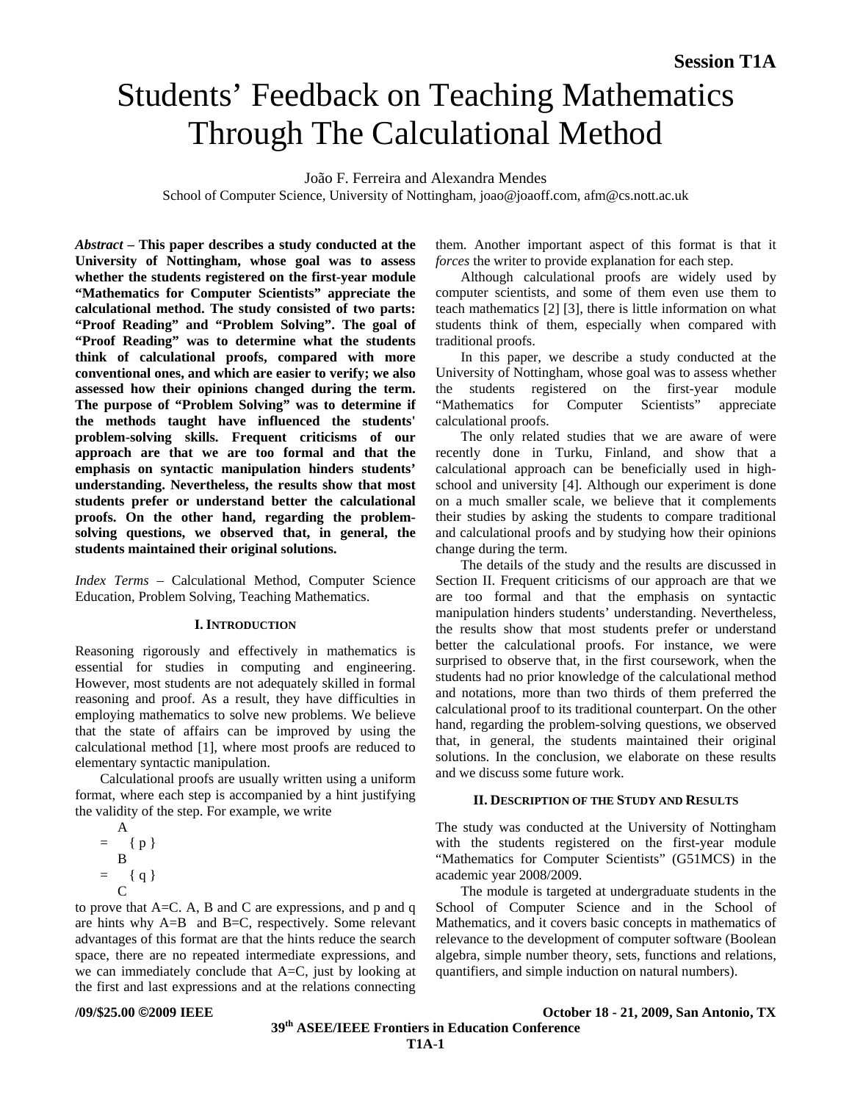# Students' Feedback on Teaching Mathematics Through The Calculational Method

### João F. Ferreira and Alexandra Mendes

School of Computer Science, University of Nottingham, [joao@joaoff.com,](mailto:joao@joaoff.com) afm@cs.nott.ac.uk

*Abstract* **– This paper describes a study conducted at the University of Nottingham, whose goal was to assess whether the students registered on the first-year module "Mathematics for Computer Scientists" appreciate the calculational method. The study consisted of two parts: "Proof Reading" and "Problem Solving". The goal of "Proof Reading" was to determine what the students think of calculational proofs, compared with more conventional ones, and which are easier to verify; we also assessed how their opinions changed during the term. The purpose of "Problem Solving" was to determine if the methods taught have influenced the students' problem-solving skills. Frequent criticisms of our approach are that we are too formal and that the emphasis on syntactic manipulation hinders students' understanding. Nevertheless, the results show that most students prefer or understand better the calculational proofs. On the other hand, regarding the problemsolving questions, we observed that, in general, the students maintained their original solutions.** 

*Index Terms* – Calculational Method, Computer Science Education, Problem Solving, Teaching Mathematics.

#### **I. INTRODUCTION**

Reasoning rigorously and effectively in mathematics is essential for studies in computing and engineering. However, most students are not adequately skilled in formal reasoning and proof. As a result, they have difficulties in employing mathematics to solve new problems. We believe that the state of affairs can be improved by using the calculational method [1], where most proofs are reduced to elementary syntactic manipulation.

Calculational proofs are usually written using a uniform format, where each step is accompanied by a hint justifying the validity of the step. For example, we write

 A  $=$  { p } B  $= { q }$ C

to prove that A=C. A, B and C are expressions, and p and q are hints why A=B and B=C, respectively. Some relevant advantages of this format are that the hints reduce the search space, there are no repeated intermediate expressions, and we can immediately conclude that A=C, just by looking at the first and last expressions and at the relations connecting them. Another important aspect of this format is that it *forces* the writer to provide explanation for each step.

Although calculational proofs are widely used by computer scientists, and some of them even use them to teach mathematics [2] [3], there is little information on what students think of them, especially when compared with traditional proofs.

In this paper, we describe a study conducted at the University of Nottingham, whose goal was to assess whether the students registered on the first-year module "Mathematics for Computer Scientists" appreciate calculational proofs.

The only related studies that we are aware of were recently done in Turku, Finland, and show that a calculational approach can be beneficially used in highschool and university [4]. Although our experiment is done on a much smaller scale, we believe that it complements their studies by asking the students to compare traditional and calculational proofs and by studying how their opinions change during the term.

The details of the study and the results are discussed in Section II. Frequent criticisms of our approach are that we are too formal and that the emphasis on syntactic manipulation hinders students' understanding. Nevertheless, the results show that most students prefer or understand better the calculational proofs. For instance, we were surprised to observe that, in the first coursework, when the students had no prior knowledge of the calculational method and notations, more than two thirds of them preferred the calculational proof to its traditional counterpart. On the other hand, regarding the problem-solving questions, we observed that, in general, the students maintained their original solutions. In the conclusion, we elaborate on these results and we discuss some future work.

#### **II. DESCRIPTION OF THE STUDY AND RESULTS**

The study was conducted at the University of Nottingham with the students registered on the first-year module "Mathematics for Computer Scientists" (G51MCS) in the academic year 2008/2009.

The module is targeted at undergraduate students in the School of Computer Science and in the School of Mathematics, and it covers basic concepts in mathematics of relevance to the development of computer software (Boolean algebra, simple number theory, sets, functions and relations, quantifiers, and simple induction on natural numbers).

**/09/\$25.00 ©2009 IEEE October 18 - 21, 2009, San Antonio, TX**

 **39th ASEE/IEEE Frontiers in Education Conference T1A**-**1**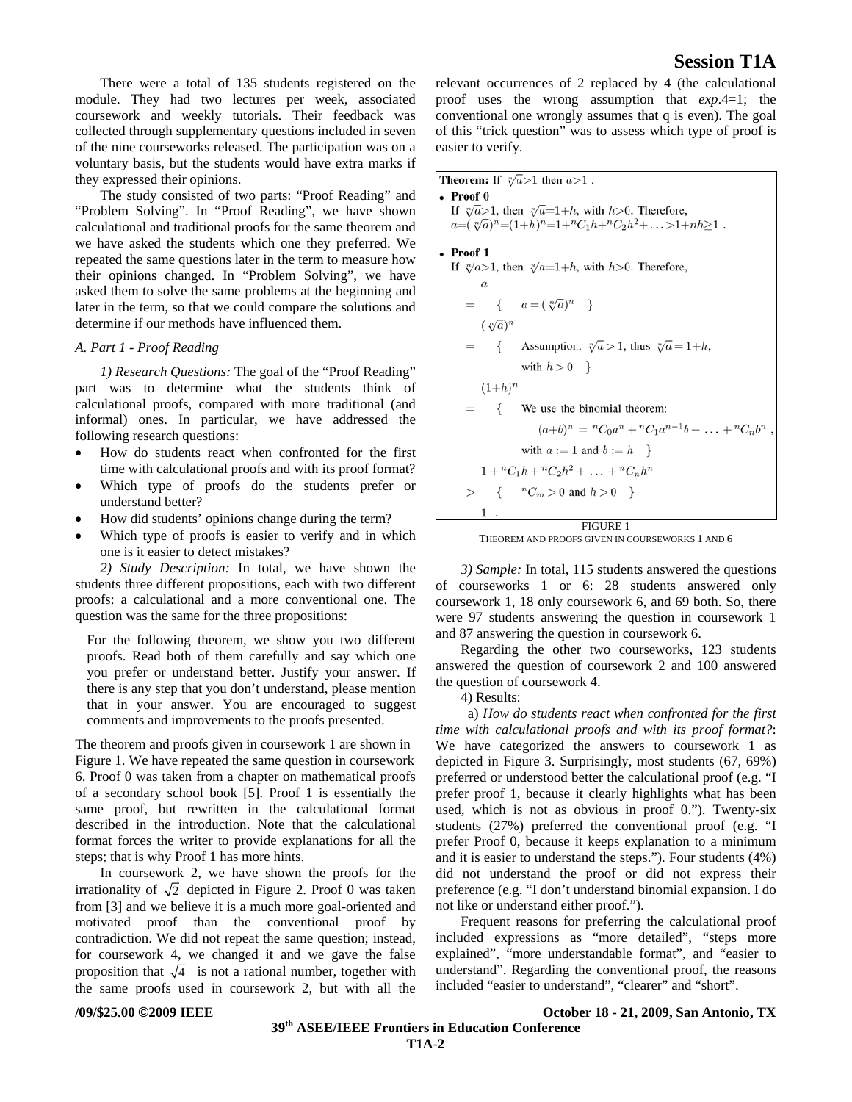There were a total of 135 students registered on the module. They had two lectures per week, associated coursework and weekly tutorials. Their feedback was collected through supplementary questions included in seven of the nine courseworks released. The participation was on a voluntary basis, but the students would have extra marks if they expressed their opinions.

The study consisted of two parts: "Proof Reading" and "Problem Solving". In "Proof Reading", we have shown calculational and traditional proofs for the same theorem and we have asked the students which one they preferred. We repeated the same questions later in the term to measure how their opinions changed. In "Problem Solving", we have asked them to solve the same problems at the beginning and later in the term, so that we could compare the solutions and determine if our methods have influenced them.

#### *A. Part 1 - Proof Reading*

*1) Research Questions:* The goal of the "Proof Reading" part was to determine what the students think of calculational proofs, compared with more traditional (and informal) ones. In particular, we have addressed the following research questions:

- How do students react when confronted for the first time with calculational proofs and with its proof format?
- Which type of proofs do the students prefer or understand better?
- How did students' opinions change during the term?
- Which type of proofs is easier to verify and in which one is it easier to detect mistakes?

*2) Study Description:* In total, we have shown the students three different propositions, each with two different proofs: a calculational and a more conventional one. The question was the same for the three propositions:

For the following theorem, we show you two different proofs. Read both of them carefully and say which one you prefer or understand better. Justify your answer. If there is any step that you don't understand, please mention that in your answer. You are encouraged to suggest comments and improvements to the proofs presented.

The theorem and proofs given in coursework 1 are shown in Figure 1. We have repeated the same question in coursework 6. Proof 0 was taken from a chapter on mathematical proofs of a secondary school book [5]. Proof 1 is essentially the same proof, but rewritten in the calculational format described in the introduction. Note that the calculational format forces the writer to provide explanations for all the steps; that is why Proof 1 has more hints.

In coursework 2, we have shown the proofs for the irrationality of  $\sqrt{2}$  depicted in Figure 2. Proof 0 was taken from [3] and we believe it is a much more goal-oriented and motivated proof than the conventional proof by contradiction. We did not repeat the same question; instead, for coursework 4, we changed it and we gave the false proposition that  $\sqrt{4}$  is not a rational number, together with the same proofs used in coursework 2, but with all the

relevant occurrences of 2 replaced by 4 (the calculational proof uses the wrong assumption that *exp*.4=1; the conventional one wrongly assumes that q is even). The goal of this "trick question" was to assess which type of proof is easier to verify.

**Theorem:** If  $\sqrt[n]{a} > 1$  then  $a > 1$ .  $\bullet$  Proof  $\theta$ If  $\sqrt[n]{a} > 1$ , then  $\sqrt[n]{a} = 1 + h$ , with  $h > 0$ . Therefore,  $a=(\sqrt[n]{a})^n=(1+h)^n=1+\binom{n}{1}h+\binom{n}{2}h^2+\ldots>1+nh\geq 1$ .  $\bullet$  Proof 1 If  $\sqrt[n]{a} > 1$ , then  $\sqrt[n]{a} = 1 + h$ , with  $h > 0$ . Therefore,  $\{a=(\sqrt[n]{a})^n\}$  $(\sqrt[n]{a})^n$ Assumption:  $\sqrt[n]{a} > 1$ , thus  $\sqrt[n]{a} = 1 + h$ ,  $\left\{ \right.$ with  $h > 0$  }  $(1+h)^n$ We use the binomial theorem:  $\{$  $(a+b)^n = {}^nC_0a^n + {}^nC_1a^{n-1}b + \ldots + {}^nC_nb^n$ with  $a := 1$  and  $b := h$  $1 + {}^nC_1h + {}^nC_2h^2 + \ldots + {}^nC_nh^n$ {  ${}^{n}C_{m} > 0$  and  $h > 0$ }  $\,>$  $\mathbf{1}$ FIGURE 1

THEOREM AND PROOFS GIVEN IN COURSEWORKS 1 AND 6

*3) Sample:* In total, 115 students answered the questions of courseworks 1 or 6: 28 students answered only coursework 1, 18 only coursework 6, and 69 both. So, there were 97 students answering the question in coursework 1 and 87 answering the question in coursework 6.

Regarding the other two courseworks, 123 students answered the question of coursework 2 and 100 answered the question of coursework 4.

4) Results:

 a) *How do students react when confronted for the first time with calculational proofs and with its proof format?*: We have categorized the answers to coursework 1 as depicted in Figure 3. Surprisingly, most students (67, 69%) preferred or understood better the calculational proof (e.g. "I prefer proof 1, because it clearly highlights what has been used, which is not as obvious in proof 0."). Twenty-six students (27%) preferred the conventional proof (e.g. "I prefer Proof 0, because it keeps explanation to a minimum and it is easier to understand the steps."). Four students (4%) did not understand the proof or did not express their preference (e.g. "I don't understand binomial expansion. I do not like or understand either proof.").

Frequent reasons for preferring the calculational proof included expressions as "more detailed", "steps more explained", "more understandable format", and "easier to understand". Regarding the conventional proof, the reasons included "easier to understand", "clearer" and "short".

**/09/\$25.00 ©2009 IEEE October 18 - 21, 2009, San Antonio, TX**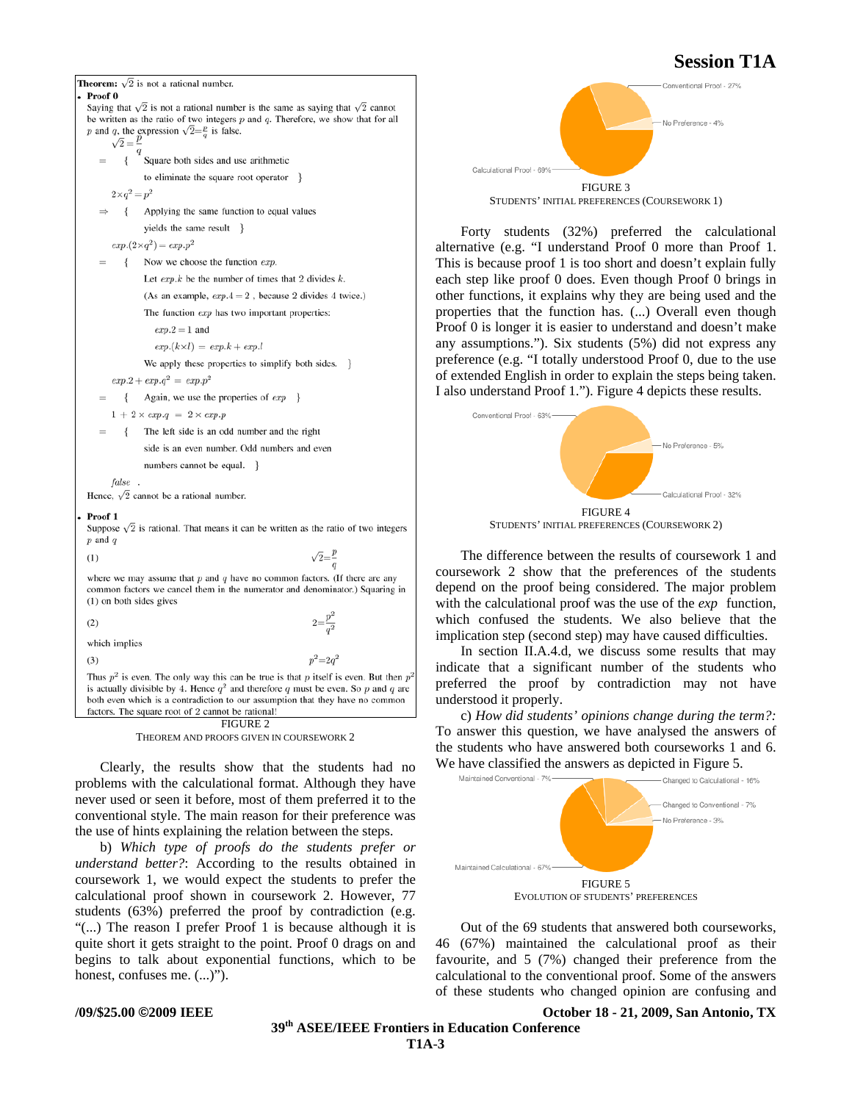**Theorem:**  $\sqrt{2}$  is not a rational number. Proof 0 Saying that  $\sqrt{2}$  is not a rational number is the same as saying that  $\sqrt{2}$  cannot be written as the ratio of two integers  $p$  and  $q$ . Therefore, we show that for all p and q, the expression  $\sqrt{2} = \frac{p}{q}$  is false.  $\sqrt{2} = \frac{p}{2}$  $\{$ Square both sides and use arithmetic to eliminate the square root operator }  $2 \times q^2 = p^2$  $\Rightarrow$ Applying the same function to equal values yields the same result }  $exp.(2\times q^2) = exp.p^2$ Now we choose the function exp.  $\left\{ \right.$ Let  $exp.k$  be the number of times that 2 divides  $k$ . (As an example,  $exp.4 = 2$ , because 2 divides 4 twice.) The function exp has two important properties:  $exp.2 = 1$  and  $exp.(k \times l) = exp.k + exp.l$ We apply these properties to simplify both sides. }  $exp.2 + exp.q^2 = exp.p^2$ Again, we use the properties of  $exp$  }  $\{$  $1 + 2 \times exp.q = 2 \times exp.p$ The left side is an odd number and the right side is an even number. Odd numbers and even numbers cannot be equal. } false. Hence,  $\sqrt{2}$  cannot be a rational number. Proof 1 Suppose  $\sqrt{2}$  is rational. That means it can be written as the ratio of two integers  $p$  and  $q$  $\sqrt{2}=\frac{p}{a}$  $(1)$ where we may assume that  $p$  and  $q$  have no common factors. (If there are any common factors we cancel them in the numerator and denominator.) Squaring in (1) on both sides gives  $(2)$ which implies  $p^2 = 2q^2$  $(3)$ Thus  $p^2$  is even. The only way this can be true is that p itself is even. But then  $p^2$ is actually divisible by 4. Hence  $q^2$  and therefore q must be even. So p and q are both even which is a contradiction to our assumption that they have no common factors. The square root of 2 cannot be rational!  $FIGURE 2$ 

THEOREM AND PROOFS GIVEN IN COURSEWORK 2

Clearly, the results show that the students had no problems with the calculational format. Although they have never used or seen it before, most of them preferred it to the conventional style. The main reason for their preference was the use of hints explaining the relation between the steps.

b) *Which type of proofs do the students prefer or understand better?*: According to the results obtained in coursework 1, we would expect the students to prefer the calculational proof shown in coursework 2. However, 77 students (63%) preferred the proof by contradiction (e.g. "(...) The reason I prefer Proof 1 is because although it is quite short it gets straight to the point. Proof 0 drags on and begins to talk about exponential functions, which to be honest, confuses me.  $(...)$ ").



Forty students (32%) preferred the calculational alternative (e.g. "I understand Proof 0 more than Proof 1. This is because proof 1 is too short and doesn't explain fully each step like proof 0 does. Even though Proof 0 brings in other functions, it explains why they are being used and the properties that the function has. (...) Overall even though Proof 0 is longer it is easier to understand and doesn't make any assumptions."). Six students (5%) did not express any preference (e.g. "I totally understood Proof 0, due to the use of extended English in order to explain the steps being taken. I also understand Proof 1."). Figure 4 depicts these results.



The difference between the results of coursework 1 and coursework 2 show that the preferences of the students depend on the proof being considered. The major problem with the calculational proof was the use of the *exp* function, which confused the students. We also believe that the implication step (second step) may have caused difficulties.

In section II.A.4.d, we discuss some results that may indicate that a significant number of the students who preferred the proof by contradiction may not have understood it properly.

c) *How did students' opinions change during the term?:* To answer this question, we have analysed the answers of the students who have answered both courseworks 1 and 6. We have classified the answers as depicted in Figure 5.



Out of the 69 students that answered both courseworks, 46 (67%) maintained the calculational proof as their favourite, and 5 (7%) changed their preference from the calculational to the conventional proof. Some of the answers of these students who changed opinion are confusing and

**/09/\$25.00 ©2009 IEEE October 18 - 21, 2009, San Antonio, TX**

 **39th ASEE/IEEE Frontiers in Education Conference T1A**-**3**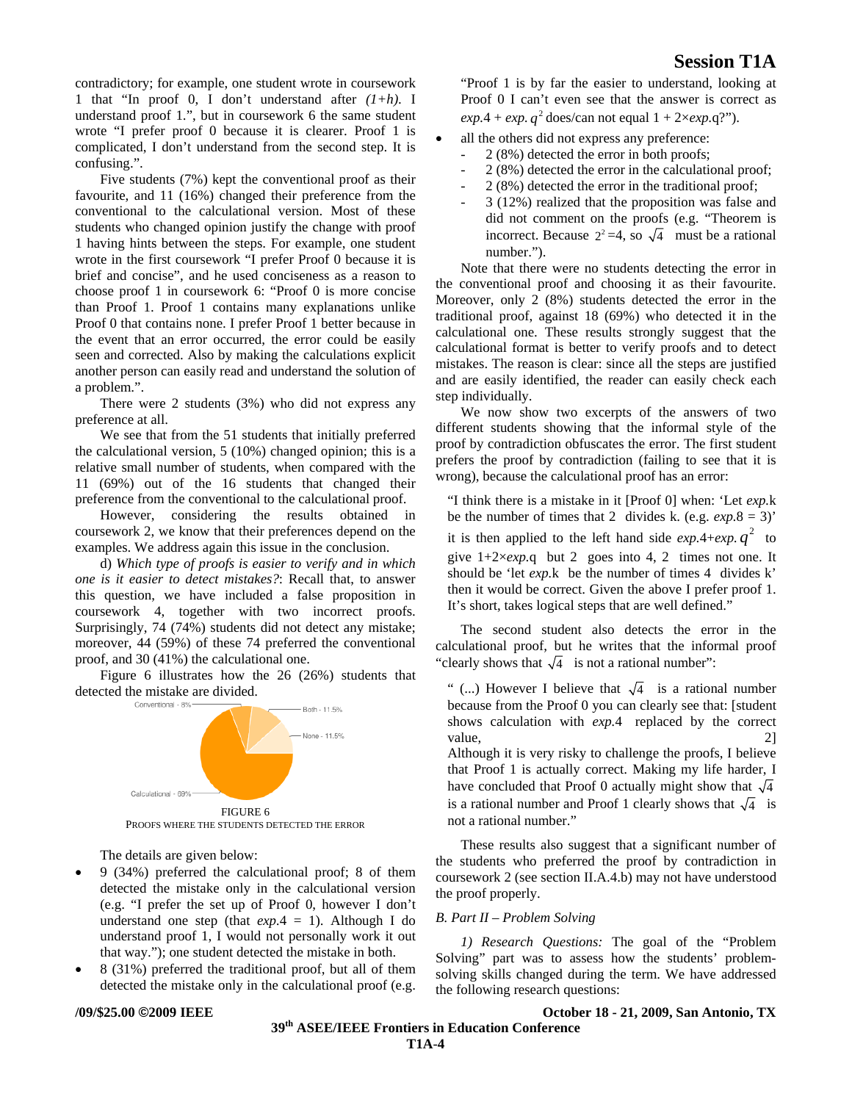contradictory; for example, one student wrote in coursework 1 that "In proof 0, I don't understand after *(1+h)*. I understand proof 1.", but in coursework 6 the same student wrote "I prefer proof 0 because it is clearer. Proof 1 is complicated, I don't understand from the second step. It is confusing.".

Five students (7%) kept the conventional proof as their favourite, and 11 (16%) changed their preference from the conventional to the calculational version. Most of these students who changed opinion justify the change with proof 1 having hints between the steps. For example, one student wrote in the first coursework "I prefer Proof 0 because it is brief and concise", and he used conciseness as a reason to choose proof 1 in coursework 6: "Proof 0 is more concise than Proof 1. Proof 1 contains many explanations unlike Proof 0 that contains none. I prefer Proof 1 better because in the event that an error occurred, the error could be easily seen and corrected. Also by making the calculations explicit another person can easily read and understand the solution of a problem.".

There were 2 students (3%) who did not express any preference at all.

We see that from the 51 students that initially preferred the calculational version, 5 (10%) changed opinion; this is a relative small number of students, when compared with the 11 (69%) out of the 16 students that changed their preference from the conventional to the calculational proof.

However, considering the results obtained in coursework 2, we know that their preferences depend on the examples. We address again this issue in the conclusion.

d) *Which type of proofs is easier to verify and in which one is it easier to detect mistakes?*: Recall that, to answer this question, we have included a false proposition in coursework 4, together with two incorrect proofs. Surprisingly, 74 (74%) students did not detect any mistake; moreover, 44 (59%) of these 74 preferred the conventional proof, and 30 (41%) the calculational one.

Figure 6 illustrates how the 26 (26%) students that detected the mistake are divided.



PROOFS WHERE THE STUDENTS DETECTED THE ERROR

The details are given below:

- 9 (34%) preferred the calculational proof; 8 of them detected the mistake only in the calculational version (e.g. "I prefer the set up of Proof 0, however I don't understand one step (that  $exp.4 = 1$ ). Although I do understand proof 1, I would not personally work it out that way."); one student detected the mistake in both.
- 8 (31%) preferred the traditional proof, but all of them detected the mistake only in the calculational proof (e.g.

"Proof 1 is by far the easier to understand, looking at Proof 0 I can't even see that the answer is correct as  $exp.4 + exp. q^2$  does/can not equal  $1 + 2 \times exp. q$ ?").

- all the others did not express any preference:
	- 2 (8%) detected the error in both proofs;
	- 2 (8%) detected the error in the calculational proof;
	- 2 (8%) detected the error in the traditional proof;
	- 3 (12%) realized that the proposition was false and did not comment on the proofs (e.g. "Theorem is incorrect. Because  $2^2 = 4$ , so  $\sqrt{4}$  must be a rational number.").

Note that there were no students detecting the error in the conventional proof and choosing it as their favourite. Moreover, only 2 (8%) students detected the error in the traditional proof, against 18 (69%) who detected it in the calculational one. These results strongly suggest that the calculational format is better to verify proofs and to detect mistakes. The reason is clear: since all the steps are justified and are easily identified, the reader can easily check each step individually.

We now show two excerpts of the answers of two different students showing that the informal style of the proof by contradiction obfuscates the error. The first student prefers the proof by contradiction (failing to see that it is wrong), because the calculational proof has an error:

"I think there is a mistake in it [Proof 0] when: 'Let *exp.*k be the number of times that 2 divides k. (e.g.  $exp.8 = 3$ )' it is then applied to the left hand side  $exp.4+exp. q^2$  to give  $1+2\times exp.q$  but 2 goes into 4, 2 times not one. It should be 'let *exp.*k be the number of times 4 divides k' then it would be correct. Given the above I prefer proof 1. It's short, takes logical steps that are well defined."

The second student also detects the error in the calculational proof, but he writes that the informal proof "clearly shows that  $\sqrt{4}$  is not a rational number":

" (...) However I believe that  $\sqrt{4}$  is a rational number because from the Proof 0 you can clearly see that: [student shows calculation with *exp.*4 replaced by the correct value, 2 Although it is very risky to challenge the proofs, I believe that Proof 1 is actually correct. Making my life harder, I have concluded that Proof 0 actually might show that  $\sqrt{4}$ is a rational number and Proof 1 clearly shows that  $\sqrt{4}$  is not a rational number."

These results also suggest that a significant number of the students who preferred the proof by contradiction in coursework 2 (see section II.A.4.b) may not have understood the proof properly.

#### *B. Part II – Problem Solving*

*1) Research Questions:* The goal of the "Problem Solving" part was to assess how the students' problemsolving skills changed during the term. We have addressed the following research questions:

## **/09/\$25.00 ©2009 IEEE October 18 - 21, 2009, San Antonio, TX**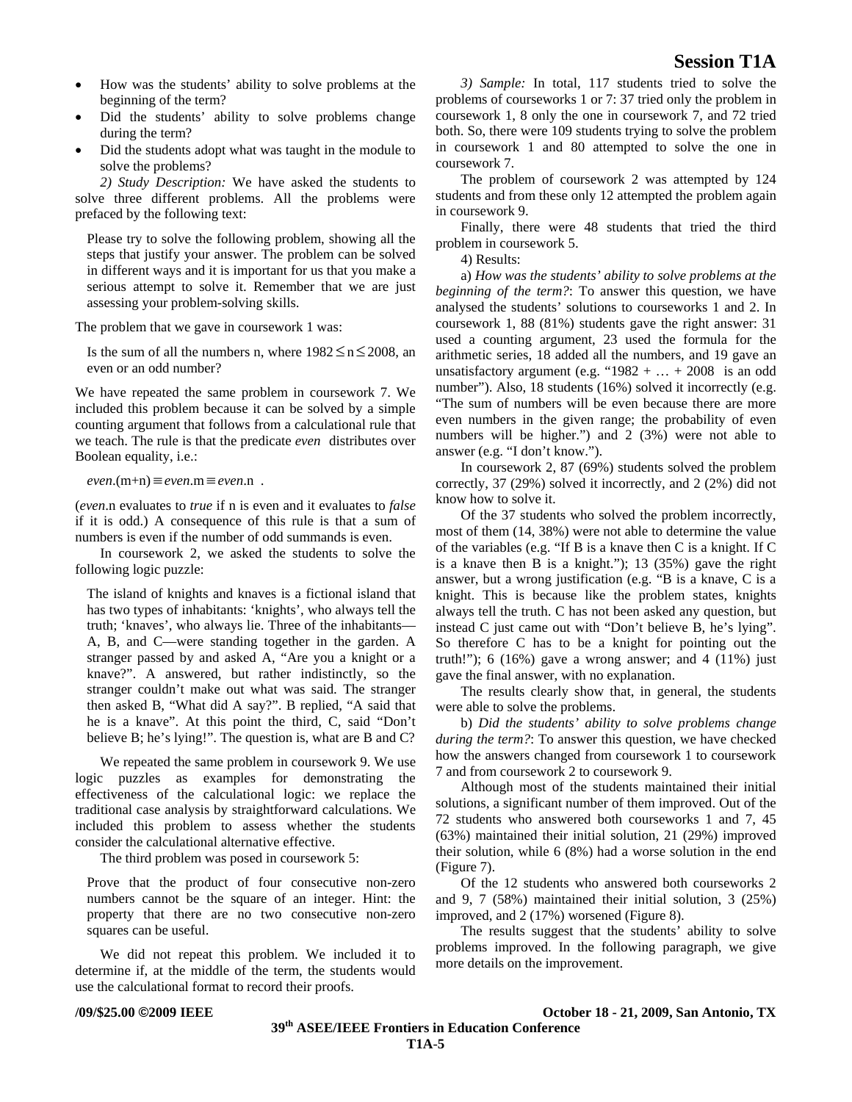- How was the students' ability to solve problems at the beginning of the term?
- Did the students' ability to solve problems change during the term?
- Did the students adopt what was taught in the module to solve the problems?

*2) Study Description:* We have asked the students to solve three different problems. All the problems were prefaced by the following text:

Please try to solve the following problem, showing all the steps that justify your answer. The problem can be solved in different ways and it is important for us that you make a serious attempt to solve it. Remember that we are just assessing your problem-solving skills.

The problem that we gave in coursework 1 was:

Is the sum of all the numbers n, where  $1982 \le n \le 2008$ , an even or an odd number?

We have repeated the same problem in coursework 7. We included this problem because it can be solved by a simple counting argument that follows from a calculational rule that we teach. The rule is that the predicate *even* distributes over Boolean equality, i.e.:

*even*.(m+n) ≡*even*.m ≡*even*.n .

(*even*.n evaluates to *true* if n is even and it evaluates to *false* if it is odd.) A consequence of this rule is that a sum of numbers is even if the number of odd summands is even.

In coursework 2, we asked the students to solve the following logic puzzle:

The island of knights and knaves is a fictional island that has two types of inhabitants: 'knights', who always tell the truth; 'knaves', who always lie. Three of the inhabitants— A, B, and C—were standing together in the garden. A stranger passed by and asked A, "Are you a knight or a knave?". A answered, but rather indistinctly, so the stranger couldn't make out what was said. The stranger then asked B, "What did A say?". B replied, "A said that he is a knave". At this point the third, C, said "Don't believe B; he's lying!". The question is, what are B and C?

We repeated the same problem in coursework 9. We use logic puzzles as examples for demonstrating the effectiveness of the calculational logic: we replace the traditional case analysis by straightforward calculations. We included this problem to assess whether the students consider the calculational alternative effective.

The third problem was posed in coursework 5:

Prove that the product of four consecutive non-zero numbers cannot be the square of an integer. Hint: the property that there are no two consecutive non-zero squares can be useful.

We did not repeat this problem. We included it to determine if, at the middle of the term, the students would use the calculational format to record their proofs.

*3) Sample:* In total, 117 students tried to solve the problems of courseworks 1 or 7: 37 tried only the problem in coursework 1, 8 only the one in coursework 7, and 72 tried both. So, there were 109 students trying to solve the problem in coursework 1 and 80 attempted to solve the one in coursework 7.

The problem of coursework 2 was attempted by 124 students and from these only 12 attempted the problem again in coursework 9.

Finally, there were 48 students that tried the third problem in coursework 5.

4) Results:

a) *How was the students' ability to solve problems at the beginning of the term?*: To answer this question, we have analysed the students' solutions to courseworks 1 and 2. In coursework 1, 88 (81%) students gave the right answer: 31 used a counting argument, 23 used the formula for the arithmetic series, 18 added all the numbers, and 19 gave an unsatisfactory argument (e.g. " $1982 + ... + 2008$  is an odd number"). Also, 18 students (16%) solved it incorrectly (e.g. "The sum of numbers will be even because there are more even numbers in the given range; the probability of even numbers will be higher.") and 2 (3%) were not able to answer (e.g. "I don't know.").

In coursework 2, 87 (69%) students solved the problem correctly, 37 (29%) solved it incorrectly, and 2 (2%) did not know how to solve it.

Of the 37 students who solved the problem incorrectly, most of them (14, 38%) were not able to determine the value of the variables (e.g. "If B is a knave then C is a knight. If C is a knave then B is a knight."); 13 (35%) gave the right answer, but a wrong justification (e.g. "B is a knave, C is a knight. This is because like the problem states, knights always tell the truth. C has not been asked any question, but instead C just came out with "Don't believe B, he's lying". So therefore C has to be a knight for pointing out the truth!");  $6(16\%)$  gave a wrong answer; and  $4(11\%)$  just gave the final answer, with no explanation.

The results clearly show that, in general, the students were able to solve the problems.

b) *Did the students' ability to solve problems change during the term?*: To answer this question, we have checked how the answers changed from coursework 1 to coursework 7 and from coursework 2 to coursework 9.

Although most of the students maintained their initial solutions, a significant number of them improved. Out of the 72 students who answered both courseworks 1 and 7, 45 (63%) maintained their initial solution, 21 (29%) improved their solution, while 6 (8%) had a worse solution in the end (Figure 7).

Of the 12 students who answered both courseworks 2 and 9, 7 (58%) maintained their initial solution, 3 (25%) improved, and 2 (17%) worsened (Figure 8).

The results suggest that the students' ability to solve problems improved. In the following paragraph, we give more details on the improvement.

**/09/\$25.00 ©2009 IEEE October 18 - 21, 2009, San Antonio, TX**